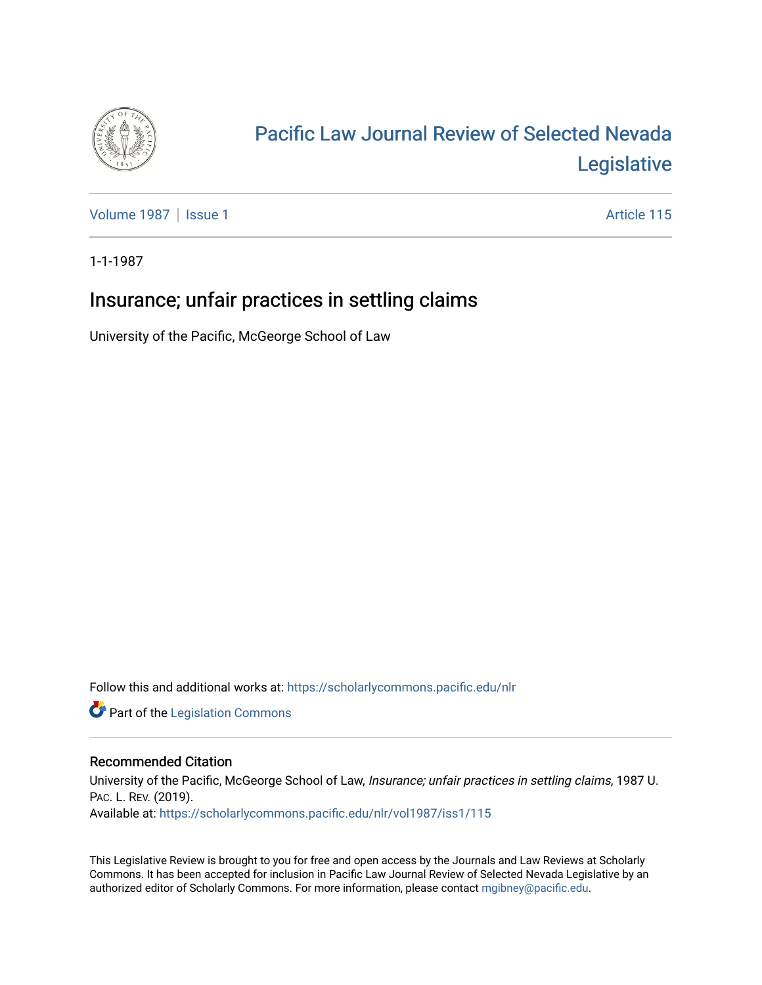

# [Pacific Law Journal Review of Selected Nevada](https://scholarlycommons.pacific.edu/nlr)  [Legislative](https://scholarlycommons.pacific.edu/nlr)

[Volume 1987](https://scholarlycommons.pacific.edu/nlr/vol1987) | [Issue 1](https://scholarlycommons.pacific.edu/nlr/vol1987/iss1) Article 115

1-1-1987

## Insurance; unfair practices in settling claims

University of the Pacific, McGeorge School of Law

Follow this and additional works at: [https://scholarlycommons.pacific.edu/nlr](https://scholarlycommons.pacific.edu/nlr?utm_source=scholarlycommons.pacific.edu%2Fnlr%2Fvol1987%2Fiss1%2F115&utm_medium=PDF&utm_campaign=PDFCoverPages) 

**Part of the [Legislation Commons](http://network.bepress.com/hgg/discipline/859?utm_source=scholarlycommons.pacific.edu%2Fnlr%2Fvol1987%2Fiss1%2F115&utm_medium=PDF&utm_campaign=PDFCoverPages)** 

### Recommended Citation

University of the Pacific, McGeorge School of Law, Insurance; unfair practices in settling claims, 1987 U. PAC. L. REV. (2019). Available at: [https://scholarlycommons.pacific.edu/nlr/vol1987/iss1/115](https://scholarlycommons.pacific.edu/nlr/vol1987/iss1/115?utm_source=scholarlycommons.pacific.edu%2Fnlr%2Fvol1987%2Fiss1%2F115&utm_medium=PDF&utm_campaign=PDFCoverPages) 

This Legislative Review is brought to you for free and open access by the Journals and Law Reviews at Scholarly Commons. It has been accepted for inclusion in Pacific Law Journal Review of Selected Nevada Legislative by an authorized editor of Scholarly Commons. For more information, please contact [mgibney@pacific.edu](mailto:mgibney@pacific.edu).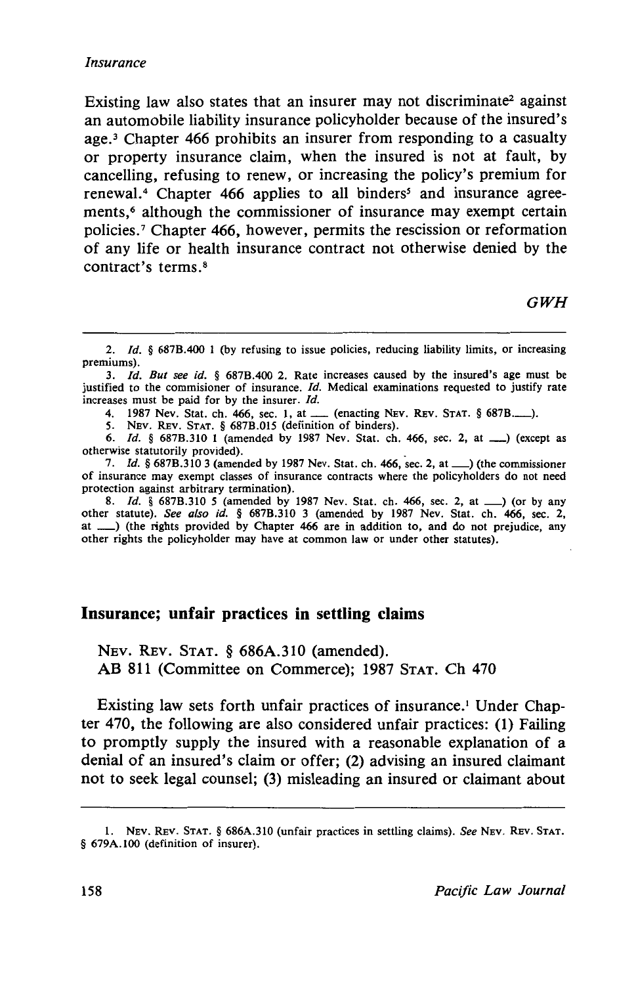Existing law also states that an insurer may not discriminate<sup>2</sup> against an automobile liability insurance policyholder because of the insured's age.<sup>3</sup> Chapter 466 prohibits an insurer from responding to a casualty or property insurance claim, when the insured is not at fault, by cancelling, refusing to renew, or increasing the policy's premium for renewal.<sup>4</sup> Chapter 466 applies to all binders<sup>5</sup> and insurance agreements,<sup>6</sup> although the commissioner of insurance may exempt certain policies. 7 Chapter 466, however, permits the rescission or reformation of any life or health insurance contract not otherwise denied by the contract's terms. <sup>8</sup>

*GWH* 

4. 1987 Nev. Stat. ch. 466, sec. 1, at  $\frac{1}{2}$  (enacting NEV. REV. STAT. § 687B........).

*5.* NEv. REv. STAT. § 687B.015 (definition of binders).

6. *Id.* § 687B.310 1 (amended by 1987 Nev. Stat. ch. 466, sec. 2, at  $\qquad$ ) (except as otherwise statutorily provided). .

7. *Id.* § 687B.310 3 (amended by 1987 Nev. Stat. ch. 466, sec. 2, at  $\Box$ ) (the commissioner of insurance may exempt classes of insurance contracts where the policyholders do not need protection against arbitrary termination).

8. *Id.* § 687B.310 5 (amended by 1987 Nev. Stat. ch. 466, sec. 2, at \_\_) (or by any other statute). *See also id.* § 687B.310 3 (amended by 1987 Nev. Stat. ch. 466, sec. 2, at \_) (the rights provided by Chapter 466 are in addition to, and do not prejudice, any other rights the policyholder may have at common law or under other statutes).

#### **Insurance; unfair practices in settling claims**

NEv. REv. STAT. § 686A.310 (amended). AB 811 (Committee on Commerce); 1987 STAT. Ch 470

Existing law sets forth unfair practices of insurance.<sup>1</sup> Under Chapter 470, the following are also considered unfair practices: (1) Failing to promptly supply the insured with a reasonable explanation of a denial of an insured's claim or offer; (2) advising an insured claimant not to seek legal counsel; (3) misleading an insured or claimant about

<sup>2.</sup> *Id.* § 687B.400 1 (by refusing to issue policies, reducing liability limits, or increasing premiums).

<sup>3.</sup> */d. But see id.* § 687B.400 2. Rate increases caused by the insured's age must be justified to the commisioner of insurance. *Id.* Medical examinations requested to justify rate increases must be paid for by the insurer. *Id.* 

<sup>1.</sup> NEv. REv. STAT. § 686A.310 (unfair practices in settling claims). *See* NEv. REv. STAT. § 679A.100 (definition of insurer).